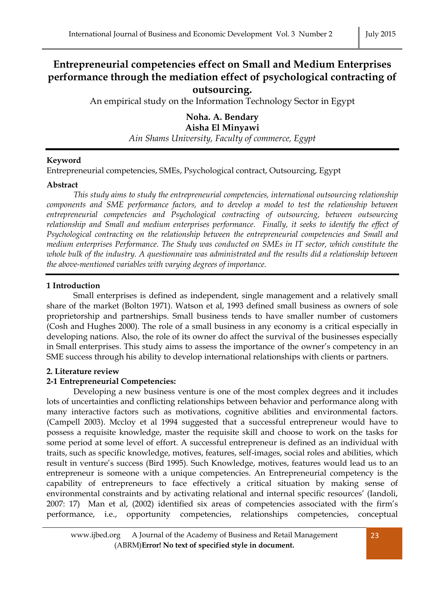# **Entrepreneurial competencies effect on Small and Medium Enterprises performance through the mediation effect of psychological contracting of outsourcing.**

An empirical study on the Information Technology Sector in Egypt

**Noha. A. Bendary Aisha El Minyawi** *Ain Shams University, Faculty of commerce, Egypt*

# **Keyword**

Entrepreneurial competencies, SMEs, Psychological contract, Outsourcing, Egypt

## **Abstract**

*This study aims to study the entrepreneurial competencies, international outsourcing relationship components and SME performance factors, and to develop a model to test the relationship between entrepreneurial competencies and Psychological contracting of outsourcing, between outsourcing relationship and Small and medium enterprises performance. Finally, it seeks to identify the effect of Psychological contracting on the relationship between the entrepreneurial competencies and Small and medium enterprises Performance. The Study was conducted on SMEs in IT sector, which constitute the whole bulk of the industry. A questionnaire was administrated and the results did a relationship between the above-mentioned variables with varying degrees of importance.*

# **1 Introduction**

Small enterprises is defined as independent, single management and a relatively small share of the market (Bolton 1971). Watson et al, 1993 defined small business as owners of sole proprietorship and partnerships. Small business tends to have smaller number of customers (Cosh and Hughes 2000). The role of a small business in any economy is a critical especially in developing nations. Also, the role of its owner do affect the survival of the businesses especially in Small enterprises. This study aims to assess the importance of the owner's competency in an SME success through his ability to develop international relationships with clients or partners.

# **2. Literature review**

# **2-1 Entrepreneurial Competencies:**

Developing a new business venture is one of the most complex degrees and it includes lots of uncertainties and conflicting relationships between behavior and performance along with many interactive factors such as motivations, cognitive abilities and environmental factors. (Campell 2003). Mccloy et al 1994 suggested that a successful entrepreneur would have to possess a requisite knowledge, master the requisite skill and choose to work on the tasks for some period at some level of effort. A successful entrepreneur is defined as an individual with traits, such as specific knowledge, motives, features, self-images, social roles and abilities, which result in venture's success (Bird 1995). Such Knowledge, motives, features would lead us to an entrepreneur is someone with a unique competencies. An Entrepreneurial competency is the capability of entrepreneurs to face effectively a critical situation by making sense of environmental constraints and by activating relational and internal specific resources' (Iandoli, 2007: 17) Man et al, (2002) identified six areas of competencies associated with the firm's performance, i.e., opportunity competencies, relationships competencies, conceptual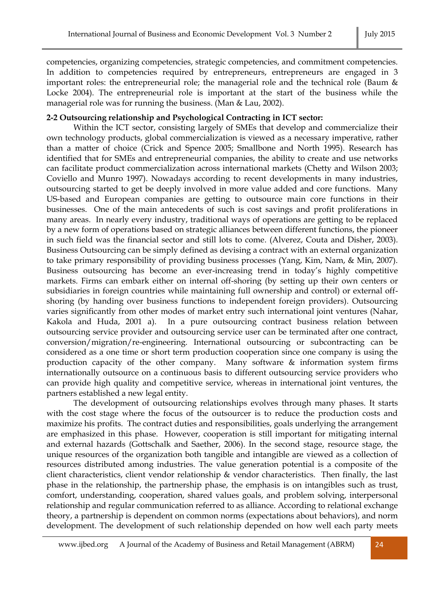competencies, organizing competencies, strategic competencies, and commitment competencies. In addition to competencies required by entrepreneurs, entrepreneurs are engaged in 3 important roles: the entrepreneurial role; the managerial role and the technical role (Baum & Locke 2004). The entrepreneurial role is important at the start of the business while the managerial role was for running the business. (Man & Lau, 2002).

#### **2-2 Outsourcing relationship and Psychological Contracting in ICT sector:**

Within the ICT sector, consisting largely of SMEs that develop and commercialize their own technology products, global commercialization is viewed as a necessary imperative, rather than a matter of choice (Crick and Spence 2005; Smallbone and North 1995). Research has identified that for SMEs and entrepreneurial companies, the ability to create and use networks can facilitate product commercialization across international markets (Chetty and Wilson 2003; Coviello and Munro 1997). Nowadays according to recent developments in many industries, outsourcing started to get be deeply involved in more value added and core functions. Many US-based and European companies are getting to outsource main core functions in their businesses. One of the main antecedents of such is cost savings and profit proliferations in many areas. In nearly every industry, traditional ways of operations are getting to be replaced by a new form of operations based on strategic alliances between different functions, the pioneer in such field was the financial sector and still lots to come. (Alverez, Couta and Disher, 2003). Business Outsourcing can be simply defined as devising a contract with an external organization to take primary responsibility of providing business processes (Yang, Kim, Nam, & Min, 2007). Business outsourcing has become an ever-increasing trend in today's highly competitive markets. Firms can embark either on internal off-shoring (by setting up their own centers or subsidiaries in foreign countries while maintaining full ownership and control) or external offshoring (by handing over business functions to independent foreign providers). Outsourcing varies significantly from other modes of market entry such international joint ventures (Nahar, Kakola and Huda, 2001 a). In a pure outsourcing contract business relation between outsourcing service provider and outsourcing service user can be terminated after one contract, conversion/migration/re-engineering. International outsourcing or subcontracting can be considered as a one time or short term production cooperation since one company is using the production capacity of the other company. Many software & information system firms internationally outsource on a continuous basis to different outsourcing service providers who can provide high quality and competitive service, whereas in international joint ventures, the partners established a new legal entity.

The development of outsourcing relationships evolves through many phases. It starts with the cost stage where the focus of the outsourcer is to reduce the production costs and maximize his profits. The contract duties and responsibilities, goals underlying the arrangement are emphasized in this phase. However, cooperation is still important for mitigating internal and external hazards (Gottschalk and Saether, 2006). In the second stage, resource stage, the unique resources of the organization both tangible and intangible are viewed as a collection of resources distributed among industries. The value generation potential is a composite of the client characteristics, client vendor relationship & vendor characteristics. Then finally, the last phase in the relationship, the partnership phase, the emphasis is on intangibles such as trust, comfort, understanding, cooperation, shared values goals, and problem solving, interpersonal relationship and regular communication referred to as alliance. According to relational exchange theory, a partnership is dependent on common norms (expectations about behaviors), and norm development. The development of such relationship depended on how well each party meets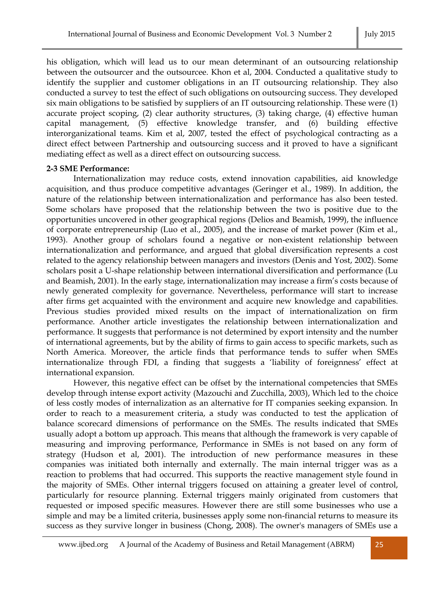his obligation, which will lead us to our mean determinant of an outsourcing relationship between the outsourcer and the outsourcee. Khon et al, 2004. Conducted a qualitative study to identify the supplier and customer obligations in an IT outsourcing relationship. They also conducted a survey to test the effect of such obligations on outsourcing success. They developed six main obligations to be satisfied by suppliers of an IT outsourcing relationship. These were (1) accurate project scoping, (2) clear authority structures, (3) taking charge, (4) effective human capital management, (5) effective knowledge transfer, and (6) building effective interorganizational teams. Kim et al, 2007, tested the effect of psychological contracting as a direct effect between Partnership and outsourcing success and it proved to have a significant mediating effect as well as a direct effect on outsourcing success.

#### **2-3 SME Performance:**

Internationalization may reduce costs, extend innovation capabilities, aid knowledge acquisition, and thus produce competitive advantages (Geringer et al., 1989). In addition, the nature of the relationship between internationalization and performance has also been tested. Some scholars have proposed that the relationship between the two is positive due to the opportunities uncovered in other geographical regions (Delios and Beamish, 1999), the influence of corporate entrepreneurship (Luo et al., 2005), and the increase of market power (Kim et al., 1993). Another group of scholars found a negative or non-existent relationship between internationalization and performance, and argued that global diversification represents a cost related to the agency relationship between managers and investors (Denis and Yost, 2002). Some scholars posit a U-shape relationship between international diversification and performance (Lu and Beamish, 2001). In the early stage, internationalization may increase a firm's costs because of newly generated complexity for governance. Nevertheless, performance will start to increase after firms get acquainted with the environment and acquire new knowledge and capabilities. Previous studies provided mixed results on the impact of internationalization on firm performance. Another article investigates the relationship between internationalization and performance. It suggests that performance is not determined by export intensity and the number of international agreements, but by the ability of firms to gain access to specific markets, such as North America. Moreover, the article finds that performance tends to suffer when SMEs internationalize through FDI, a finding that suggests a 'liability of foreignness' effect at international expansion.

However, this negative effect can be offset by the international competencies that SMEs develop through intense export activity (Mazouchi and Zucchilla, 2003), Which led to the choice of less costly modes of internalization as an alternative for IT companies seeking expansion. In order to reach to a measurement criteria, a study was conducted to test the application of balance scorecard dimensions of performance on the SMEs. The results indicated that SMEs usually adopt a bottom up approach. This means that although the framework is very capable of measuring and improving performance, Performance in SMEs is not based on any form of strategy (Hudson et al, 2001). The introduction of new performance measures in these companies was initiated both internally and externally. The main internal trigger was as a reaction to problems that had occurred. This supports the reactive management style found in the majority of SMEs. Other internal triggers focused on attaining a greater level of control, particularly for resource planning. External triggers mainly originated from customers that requested or imposed specific measures. However there are still some businesses who use a simple and may be a limited criteria, businesses apply some non-financial returns to measure its success as they survive longer in business (Chong, 2008). The owner's managers of SMEs use a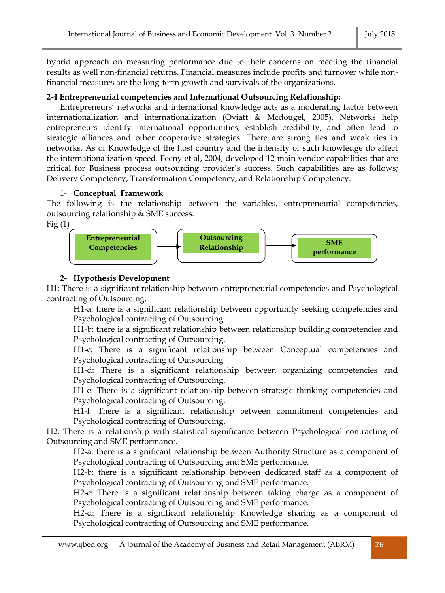hybrid approach on measuring performance due to their concerns on meeting the financial results as well non-financial returns. Financial measures include profits and turnover while nonfinancial measures are the long-term growth and survivals of the organizations.

# **2-4 Entrepreneurial competencies and International Outsourcing Relationship:**

Entrepreneurs' networks and international knowledge acts as a moderating factor between internationalization and internationalization (Oviatt & Mcdougel, 2005). Networks help entrepreneurs identify international opportunities, establish credibility, and often lead to strategic alliances and other cooperative strategies. There are strong ties and weak ties in networks. As of Knowledge of the host country and the intensity of such knowledge do affect the internationalization speed. Feeny et al, 2004, developed 12 main vendor capabilities that are critical for Business process outsourcing provider's success. Such capabilities are as follows; Delivery Competency, Transformation Competency, and Relationship Competency.

## 1- **Conceptual Framework**

The following is the relationship between the variables, entrepreneurial competencies, outsourcing relationship & SME success.

 $Fig<sub>(1)</sub>$ 



# **2- Hypothesis Development**

H1: There is a significant relationship between entrepreneurial competencies and Psychological contracting of Outsourcing.

H1-a: there is a significant relationship between opportunity seeking competencies and Psychological contracting of Outsourcing

H1-b: there is a significant relationship between relationship building competencies and Psychological contracting of Outsourcing.

H1-c: There is a significant relationship between Conceptual competencies and Psychological contracting of Outsourcing

H1-d: There is a significant relationship between organizing competencies and Psychological contracting of Outsourcing.

H1-e: There is a significant relationship between strategic thinking competencies and Psychological contracting of Outsourcing.

H1-f: There is a significant relationship between commitment competencies and Psychological contracting of Outsourcing.

H2: There is a relationship with statistical significance between Psychological contracting of Outsourcing and SME performance.

H2-a: there is a significant relationship between Authority Structure as a component of Psychological contracting of Outsourcing and SME performance.

H2-b: there is a significant relationship between dedicated staff as a component of Psychological contracting of Outsourcing and SME performance.

H2-c: There is a significant relationship between taking charge as a component of Psychological contracting of Outsourcing and SME performance.

H2-d: There is a significant relationship Knowledge sharing as a component of Psychological contracting of Outsourcing and SME performance.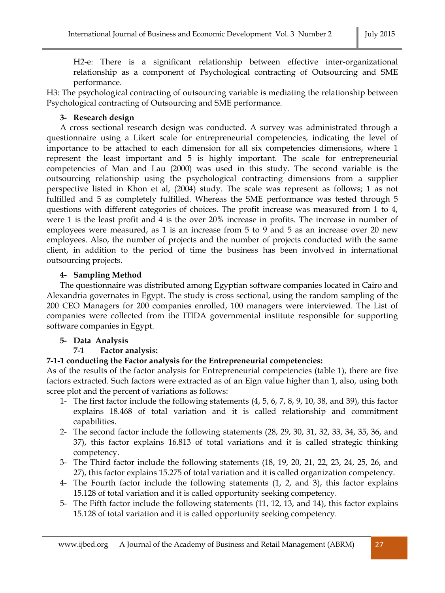H2-e: There is a significant relationship between effective inter-organizational relationship as a component of Psychological contracting of Outsourcing and SME performance.

H3: The psychological contracting of outsourcing variable is mediating the relationship between Psychological contracting of Outsourcing and SME performance.

## **3- Research design**

A cross sectional research design was conducted. A survey was administrated through a questionnaire using a Likert scale for entrepreneurial competencies, indicating the level of importance to be attached to each dimension for all six competencies dimensions, where 1 represent the least important and 5 is highly important. The scale for entrepreneurial competencies of Man and Lau (2000) was used in this study. The second variable is the outsourcing relationship using the psychological contracting dimensions from a supplier perspective listed in Khon et al, (2004) study. The scale was represent as follows; 1 as not fulfilled and 5 as completely fulfilled. Whereas the SME performance was tested through 5 questions with different categories of choices. The profit increase was measured from 1 to 4, were 1 is the least profit and 4 is the over 20% increase in profits. The increase in number of employees were measured, as 1 is an increase from 5 to 9 and 5 as an increase over 20 new employees. Also, the number of projects and the number of projects conducted with the same client, in addition to the period of time the business has been involved in international outsourcing projects.

# **4- Sampling Method**

The questionnaire was distributed among Egyptian software companies located in Cairo and Alexandria governates in Egypt. The study is cross sectional, using the random sampling of the 200 CEO Managers for 200 companies enrolled, 100 managers were interviewed. The List of companies were collected from the ITIDA governmental institute responsible for supporting software companies in Egypt.

## **5- Data Analysis**

# **7-1 Factor analysis:**

# **7-1-1 conducting the Factor analysis for the Entrepreneurial competencies:**

As of the results of the factor analysis for Entrepreneurial competencies (table 1), there are five factors extracted. Such factors were extracted as of an Eign value higher than 1, also, using both scree plot and the percent of variations as follows:

- 1- The first factor include the following statements (4, 5, 6, 7, 8, 9, 10, 38, and 39), this factor explains 18.468 of total variation and it is called relationship and commitment capabilities.
- 2- The second factor include the following statements (28, 29, 30, 31, 32, 33, 34, 35, 36, and 37), this factor explains 16.813 of total variations and it is called strategic thinking competency.
- 3- The Third factor include the following statements (18, 19, 20, 21, 22, 23, 24, 25, 26, and 27), this factor explains 15.275 of total variation and it is called organization competency.
- 4- The Fourth factor include the following statements (1, 2, and 3), this factor explains 15.128 of total variation and it is called opportunity seeking competency.
- 5- The Fifth factor include the following statements (11, 12, 13, and 14), this factor explains 15.128 of total variation and it is called opportunity seeking competency.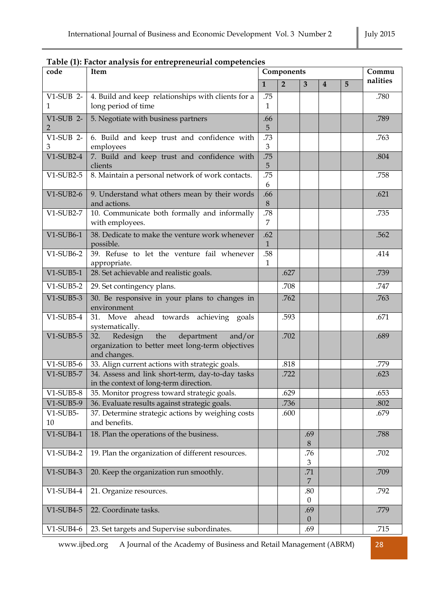# **Table (1): Factor analysis for entrepreneurial competencies**

| code              | Item                                                                                 |              | Components     | Commu                 |   |   |          |
|-------------------|--------------------------------------------------------------------------------------|--------------|----------------|-----------------------|---|---|----------|
|                   |                                                                                      | $\mathbf{1}$ | $\overline{2}$ | 3                     | 4 | 5 | nalities |
| $V1-SUB$ 2-       | 4. Build and keep relationships with clients for a                                   | .75          |                |                       |   |   | .780     |
| 1                 | long period of time                                                                  | $\mathbf{1}$ |                |                       |   |   |          |
| $V1-SUB$ 2-       | 5. Negotiate with business partners                                                  | .66          |                |                       |   |   | .789     |
| 2                 |                                                                                      | 5            |                |                       |   |   |          |
| V1-SUB 2-         | 6. Build and keep trust and confidence with                                          | .73<br>3     |                |                       |   |   | .763     |
| 3<br>$V1-SUB2-4$  | employees<br>7. Build and keep trust and confidence with                             | .75          |                |                       |   |   | .804     |
|                   | clients                                                                              | 5            |                |                       |   |   |          |
| $V1-SUB2-5$       | 8. Maintain a personal network of work contacts.                                     | .75          |                |                       |   |   | .758     |
|                   |                                                                                      | 6            |                |                       |   |   |          |
| $V1-SUB2-6$       | 9. Understand what others mean by their words                                        | .66          |                |                       |   |   | .621     |
| V1-SUB2-7         | and actions.                                                                         | 8<br>.78     |                |                       |   |   | .735     |
|                   | 10. Communicate both formally and informally<br>with employees.                      | 7            |                |                       |   |   |          |
| $V1-SUB6-1$       | 38. Dedicate to make the venture work whenever                                       | .62          |                |                       |   |   | .562     |
|                   | possible.                                                                            | $\mathbf{1}$ |                |                       |   |   |          |
| $V1-SUB6-2$       | 39. Refuse to let the venture fail whenever                                          | .58          |                |                       |   |   | .414     |
|                   | appropriate.                                                                         | $\mathbf{1}$ |                |                       |   |   |          |
| $V1-SUB5-1$       | 28. Set achievable and realistic goals.                                              |              | .627           |                       |   |   | .739     |
| $V1-SUB5-2$       | 29. Set contingency plans.                                                           |              | .708           |                       |   |   | .747     |
| $V1-SUB5-3$       | 30. Be responsive in your plans to changes in                                        |              | .762           |                       |   |   | .763     |
|                   | environment                                                                          |              |                |                       |   |   |          |
| $V1-SUB5-4$       | 31. Move ahead towards achieving goals                                               |              | .593           |                       |   |   | .671     |
| $V1-SUB5-5$       | systematically.<br>the<br>32.                                                        |              | .702           |                       |   |   | .689     |
|                   | Redesign<br>department<br>and/or<br>organization to better meet long-term objectives |              |                |                       |   |   |          |
|                   | and changes.                                                                         |              |                |                       |   |   |          |
| $V1-SUB5-6$       | 33. Align current actions with strategic goals.                                      |              | .818           |                       |   |   | .779     |
| V1-SUB5-7         | 34. Assess and link short-term, day-to-day tasks                                     |              | .722           |                       |   |   | .623     |
|                   | in the context of long-term direction.                                               |              |                |                       |   |   |          |
| $V1-SUB5-8$       | 35. Monitor progress toward strategic goals.                                         |              | .629           |                       |   |   | .653     |
| V1-SUB5-9         | 36. Evaluate results against strategic goals.                                        |              | .736           |                       |   |   | .802     |
| $V1$ -SUB5-<br>10 | 37. Determine strategic actions by weighing costs<br>and benefits.                   |              | .600           |                       |   |   | .679     |
|                   |                                                                                      |              |                |                       |   |   |          |
| $V1-SUB4-1$       | 18. Plan the operations of the business.                                             |              |                | .69<br>8              |   |   | .788     |
| $V1-SUB4-2$       | 19. Plan the organization of different resources.                                    |              |                | .76                   |   |   | .702     |
|                   |                                                                                      |              |                | 3                     |   |   |          |
| $V1-SUB4-3$       | 20. Keep the organization run smoothly.                                              |              |                | .71                   |   |   | .709     |
|                   |                                                                                      |              |                | $\overline{7}$        |   |   |          |
| $V1-SUB4-4$       | 21. Organize resources.                                                              |              |                | .80<br>$\overline{0}$ |   |   | .792     |
| $V1-SUB4-5$       | 22. Coordinate tasks.                                                                |              |                | .69                   |   |   | .779     |
|                   |                                                                                      |              |                | $\mathbf{0}$          |   |   |          |
| $V1-SUB4-6$       | 23. Set targets and Supervise subordinates.                                          |              |                | .69                   |   |   | .715     |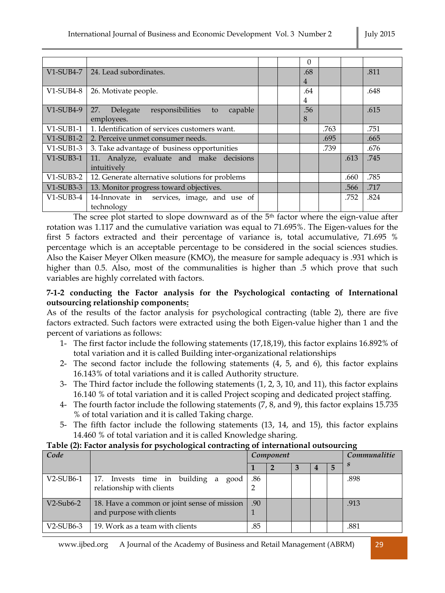|              |                                                   |  | $\Omega$       |      |      |      |
|--------------|---------------------------------------------------|--|----------------|------|------|------|
| V1-SUB4-7    | 24. Lead subordinates.                            |  | .68            |      |      | .811 |
|              |                                                   |  | $\overline{4}$ |      |      |      |
| $V1$ -SUB4-8 | 26. Motivate people.                              |  | .64            |      |      | .648 |
|              |                                                   |  | 4              |      |      |      |
| V1-SUB4-9    | 27.<br>responsibilities to<br>capable<br>Delegate |  | .56            |      |      | .615 |
|              | employees.                                        |  | 8              |      |      |      |
| $V1$ -SUB1-1 | 1. Identification of services customers want.     |  |                | .763 |      | .751 |
|              | V1-SUB1-2 2. Perceive unmet consumer needs.       |  |                | .695 |      | .665 |
| $V1-SUB1-3$  | 3. Take advantage of business opportunities       |  |                | .739 |      | .676 |
| $V1-SUB3-1$  | 11. Analyze, evaluate and make decisions          |  |                |      | .613 | .745 |
|              | intuitively                                       |  |                |      |      |      |
| $V1-SUB3-2$  | 12. Generate alternative solutions for problems   |  |                |      | .660 | .785 |
| $V1-SUB3-3$  | 13. Monitor progress toward objectives.           |  |                |      | .566 | .717 |
| $V1$ -SUB3-4 | 14-Innovate in services, image, and use of        |  |                |      | .752 | .824 |
|              | technology                                        |  |                |      |      |      |

The scree plot started to slope downward as of the  $5<sup>th</sup>$  factor where the eign-value after rotation was 1.117 and the cumulative variation was equal to 71.695%. The Eigen-values for the first 5 factors extracted and their percentage of variance is, total accumulative, 71.695 % percentage which is an acceptable percentage to be considered in the social sciences studies. Also the Kaiser Meyer Olken measure (KMO), the measure for sample adequacy is .931 which is higher than 0.5. Also, most of the communalities is higher than .5 which prove that such variables are highly correlated with factors.

## **7-1-2 conducting the Factor analysis for the Psychological contacting of International outsourcing relationship components:**

As of the results of the factor analysis for psychological contracting (table 2), there are five factors extracted. Such factors were extracted using the both Eigen-value higher than 1 and the percent of variations as follows:

- 1- The first factor include the following statements (17,18,19), this factor explains 16.892% of total variation and it is called Building inter-organizational relationships
- 2- The second factor include the following statements (4, 5, and 6), this factor explains 16.143% of total variations and it is called Authority structure.
- 3- The Third factor include the following statements (1, 2, 3, 10, and 11), this factor explains 16.140 % of total variation and it is called Project scoping and dedicated project staffing.
- 4- The fourth factor include the following statements (7, 8, and 9), this factor explains 15.735 % of total variation and it is called Taking charge.
- 5- The fifth factor include the following statements (13, 14, and 15), this factor explains 14.460 % of total variation and it is called Knowledge sharing.

## **Table (2): Factor analysis for psychological contracting of international outsourcing**

| Code         |                                                                         |     | Component | Communalitie |   |      |
|--------------|-------------------------------------------------------------------------|-----|-----------|--------------|---|------|
|              |                                                                         |     |           |              | 5 |      |
| $V2$ -SUB6-1 | 17. Invests time in building a good<br>relationship with clients        | .86 |           |              |   | .898 |
| $V2$ -Sub6-2 | 18. Have a common or joint sense of mission<br>and purpose with clients | .90 |           |              |   | .913 |
| $V2$ -SUB6-3 | 19. Work as a team with clients                                         | .85 |           |              |   | .881 |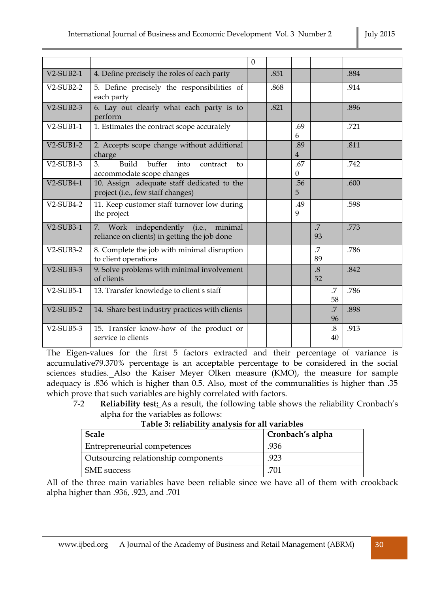|  | July 2015 |
|--|-----------|
|--|-----------|

|              |                                                                                          | $\Omega$ |      |                       |                              |                      |      |
|--------------|------------------------------------------------------------------------------------------|----------|------|-----------------------|------------------------------|----------------------|------|
| $V2-SUB2-1$  | 4. Define precisely the roles of each party                                              |          | .851 |                       |                              |                      | .884 |
| $V2-SUB2-2$  | 5. Define precisely the responsibilities of<br>each party                                |          | .868 |                       |                              |                      | .914 |
| $V2-SUB2-3$  | 6. Lay out clearly what each party is to<br>perform                                      |          | .821 |                       |                              |                      | .896 |
| $V2-SUB1-1$  | 1. Estimates the contract scope accurately                                               |          |      | .69<br>6              |                              |                      | .721 |
| $V2-SUB1-2$  | 2. Accepts scope change without additional<br>charge                                     |          |      | .89<br>$\overline{4}$ |                              |                      | .811 |
| $V2$ -SUB1-3 | Build<br>buffer<br>3.<br>int <sub>o</sub><br>contract<br>to<br>accommodate scope changes |          |      | .67<br>$\Omega$       |                              |                      | .742 |
| $V2-SUB4-1$  | 10. Assign adequate staff dedicated to the<br>project (i.e., few staff changes)          |          |      | .56<br>5              |                              |                      | .600 |
| $V2-SUB4-2$  | 11. Keep customer staff turnover low during<br>the project                               |          |      | .49<br>9              |                              |                      | .598 |
| $V2-SUB3-1$  | 7. Work independently (i.e.,<br>minimal<br>reliance on clients) in getting the job done  |          |      |                       | .7<br>93                     |                      | .773 |
| $V2-SUB3-2$  | 8. Complete the job with minimal disruption<br>to client operations                      |          |      |                       | .7<br>89                     |                      | .786 |
| $V2-SUB3-3$  | 9. Solve problems with minimal involvement<br>of clients                                 |          |      |                       | $\cdot$ <sup>8</sup> .<br>52 |                      | .842 |
| $V2$ -SUB5-1 | 13. Transfer knowledge to client's staff                                                 |          |      |                       |                              | .7<br>58             | .786 |
| $V2-SUB5-2$  | 14. Share best industry practices with clients                                           |          |      |                       |                              | $\overline{7}$<br>96 | .898 |
| $V2-SUB5-3$  | 15. Transfer know-how of the product or<br>service to clients                            |          |      |                       |                              | $.8\,$<br>40         | .913 |

The Eigen-values for the first 5 factors extracted and their percentage of variance is accumulative79.370% percentage is an acceptable percentage to be considered in the social sciences studies. Also the Kaiser Meyer Olken measure (KMO), the measure for sample adequacy is .836 which is higher than 0.5. Also, most of the communalities is higher than .35 which prove that such variables are highly correlated with factors.

7-2 **Reliability test:** As a result, the following table shows the reliability Cronbach's alpha for the variables as follows:

| 1921 - 1941 - 1942 - 1942 - 1944 - 1945 - 1946 - 1947 - 1948 - 1949 - 1949 - 1949 - 1940 - 1940 - 1940 - 1940 |                  |  |  |  |  |  |  |
|---------------------------------------------------------------------------------------------------------------|------------------|--|--|--|--|--|--|
| <b>Scale</b>                                                                                                  | Cronbach's alpha |  |  |  |  |  |  |
| Entrepreneurial competences                                                                                   | .936             |  |  |  |  |  |  |
| Outsourcing relationship components                                                                           | .923             |  |  |  |  |  |  |
| SME success                                                                                                   | .701             |  |  |  |  |  |  |

**Table 3: reliability analysis for all variables**

All of the three main variables have been reliable since we have all of them with crookback alpha higher than .936, .923, and .701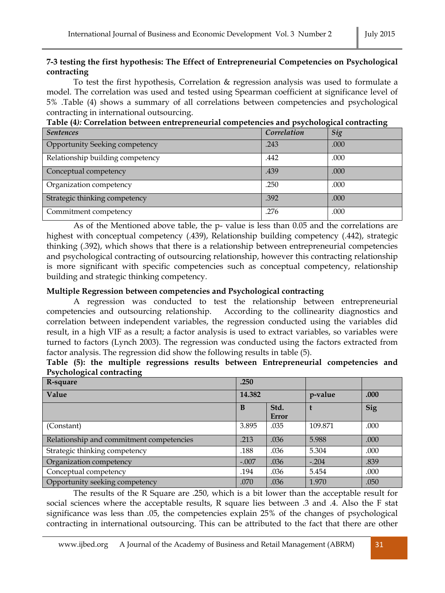## **7-3 testing the first hypothesis: The Effect of Entrepreneurial Competencies on Psychological contracting**

To test the first hypothesis, Correlation & regression analysis was used to formulate a model. The correlation was used and tested using Spearman coefficient at significance level of 5% .Table (4) shows a summary of all correlations between competencies and psychological contracting in international outsourcing.

|                                  |             | ഄ    |
|----------------------------------|-------------|------|
| <b>Sentences</b>                 | Correlation | Sig  |
| Opportunity Seeking competency   | .243        | .000 |
| Relationship building competency | .442        | .000 |
| Conceptual competency            | .439        | .000 |
| Organization competency          | .250        | .000 |
| Strategic thinking competency    | .392        | .000 |
| Commitment competency            | .276        | .000 |

**Table (4***):* **Correlation between entrepreneurial competencies and psychological contracting**

As of the Mentioned above table, the p- value is less than 0.05 and the correlations are highest with conceptual competency (.439), Relationship building competency (.442), strategic thinking (.392), which shows that there is a relationship between entrepreneurial competencies and psychological contracting of outsourcing relationship, however this contracting relationship is more significant with specific competencies such as conceptual competency, relationship building and strategic thinking competency.

## **Multiple Regression between competencies and Psychological contracting**

A regression was conducted to test the relationship between entrepreneurial competencies and outsourcing relationship. According to the collinearity diagnostics and correlation between independent variables, the regression conducted using the variables did result, in a high VIF as a result; a factor analysis is used to extract variables, so variables were turned to factors (Lynch 2003). The regression was conducted using the factors extracted from factor analysis. The regression did show the following results in table (5).

|  |                           |  | Table (5): the multiple regressions results between Entrepreneurial competencies and |  |
|--|---------------------------|--|--------------------------------------------------------------------------------------|--|
|  | Psychological contracting |  |                                                                                      |  |

| R-square                                 | .250    |                      |         |      |
|------------------------------------------|---------|----------------------|---------|------|
| Value                                    | 14.382  |                      | p-value | .000 |
|                                          | B       | Std.<br><b>Error</b> |         | Sig  |
| (Constant)                               | 3.895   | .035                 | 109.871 | .000 |
| Relationship and commitment competencies | .213    | .036                 | 5.988   | .000 |
| Strategic thinking competency            | .188    | .036                 | 5.304   | .000 |
| Organization competency                  | $-.007$ | .036                 | $-.204$ | .839 |
| Conceptual competency                    | .194    | .036                 | 5.454   | .000 |
| Opportunity seeking competency           | .070    | .036                 | 1.970   | .050 |

The results of the R Square are .250, which is a bit lower than the acceptable result for social sciences where the acceptable results, R square lies between .3 and .4. Also the F stat significance was less than .05, the competencies explain 25% of the changes of psychological contracting in international outsourcing. This can be attributed to the fact that there are other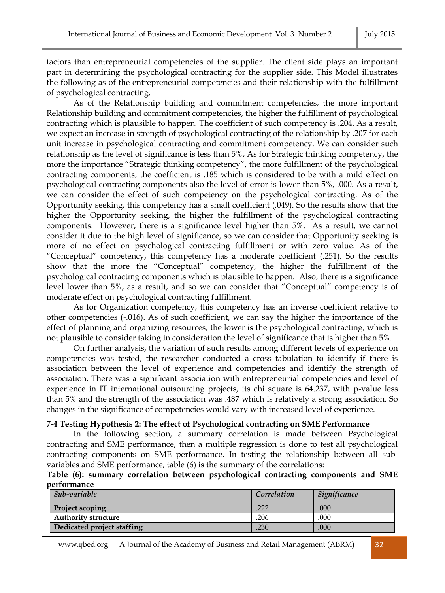factors than entrepreneurial competencies of the supplier. The client side plays an important part in determining the psychological contracting for the supplier side. This Model illustrates the following as of the entrepreneurial competencies and their relationship with the fulfillment of psychological contracting.

As of the Relationship building and commitment competencies, the more important Relationship building and commitment competencies, the higher the fulfillment of psychological contracting which is plausible to happen. The coefficient of such competency is .204. As a result, we expect an increase in strength of psychological contracting of the relationship by .207 for each unit increase in psychological contracting and commitment competency. We can consider such relationship as the level of significance is less than 5%, As for Strategic thinking competency, the more the importance "Strategic thinking competency", the more fulfillment of the psychological contracting components, the coefficient is .185 which is considered to be with a mild effect on psychological contracting components also the level of error is lower than 5%, .000. As a result, we can consider the effect of such competency on the psychological contracting. As of the Opportunity seeking, this competency has a small coefficient (.049). So the results show that the higher the Opportunity seeking, the higher the fulfillment of the psychological contracting components. However, there is a significance level higher than 5%. As a result, we cannot consider it due to the high level of significance, so we can consider that Opportunity seeking is more of no effect on psychological contracting fulfillment or with zero value. As of the "Conceptual" competency, this competency has a moderate coefficient (.251). So the results show that the more the "Conceptual" competency, the higher the fulfillment of the psychological contracting components which is plausible to happen. Also, there is a significance level lower than 5%, as a result, and so we can consider that "Conceptual" competency is of moderate effect on psychological contracting fulfillment.

As for Organization competency, this competency has an inverse coefficient relative to other competencies (-.016). As of such coefficient, we can say the higher the importance of the effect of planning and organizing resources, the lower is the psychological contracting, which is not plausible to consider taking in consideration the level of significance that is higher than 5%.

On further analysis, the variation of such results among different levels of experience on competencies was tested, the researcher conducted a cross tabulation to identify if there is association between the level of experience and competencies and identify the strength of association. There was a significant association with entrepreneurial competencies and level of experience in IT international outsourcing projects, its chi square is 64.237, with p-value less than 5% and the strength of the association was .487 which is relatively a strong association. So changes in the significance of competencies would vary with increased level of experience.

#### **7-4 Testing Hypothesis 2: The effect of Psychological contracting on SME Performance**

In the following section, a summary correlation is made between Psychological contracting and SME performance, then a multiple regression is done to test all psychological contracting components on SME performance. In testing the relationship between all subvariables and SME performance, table (6) is the summary of the correlations:

#### **Table (6): summary correlation between psychological contracting components and SME performance**

| Sub-variable               | Correlation | Significance |
|----------------------------|-------------|--------------|
| <b>Project scoping</b>     | 222         | .000         |
| <b>Authority structure</b> | .206        | .000         |
| Dedicated project staffing | .230        | .000         |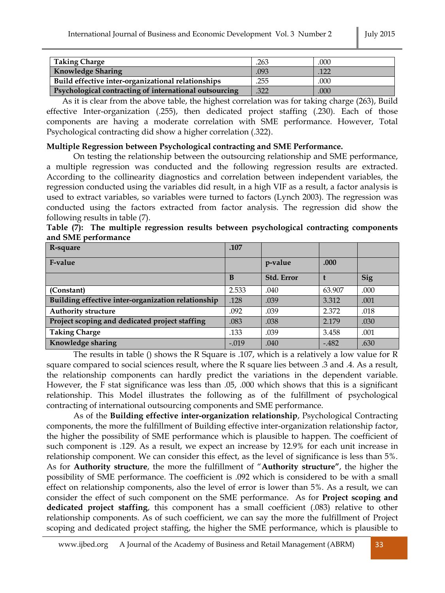| Taking Charge                                                 | .263 | .000 |
|---------------------------------------------------------------|------|------|
| <b>Knowledge Sharing</b>                                      | .093 | 122  |
| Build effective inter-organizational relationships            | .255 | .000 |
| <b>Psychological contracting of international outsourcing</b> | .322 | .000 |

As it is clear from the above table, the highest correlation was for taking charge (263), Build effective Inter-organization (.255), then dedicated project staffing (.230). Each of those components are having a moderate correlation with SME performance. However, Total Psychological contracting did show a higher correlation (.322).

#### **Multiple Regression between Psychological contracting and SME Performance.**

On testing the relationship between the outsourcing relationship and SME performance, a multiple regression was conducted and the following regression results are extracted. According to the collinearity diagnostics and correlation between independent variables, the regression conducted using the variables did result, in a high VIF as a result, a factor analysis is used to extract variables, so variables were turned to factors (Lynch 2003). The regression was conducted using the factors extracted from factor analysis. The regression did show the following results in table (7).

|                     |  |  | Table (7): The multiple regression results between psychological contracting components |  |
|---------------------|--|--|-----------------------------------------------------------------------------------------|--|
| and SME performance |  |  |                                                                                         |  |

| R-square                                           | .107    |            |        |      |
|----------------------------------------------------|---------|------------|--------|------|
| F-value                                            |         | p-value    | .000   |      |
|                                                    | в       | Std. Error |        | Sig  |
| (Constant)                                         | 2.533   | .040       | 63.907 | .000 |
| Building effective inter-organization relationship | .128    | .039       | 3.312  | .001 |
| <b>Authority structure</b>                         | .092    | .039       | 2.372  | .018 |
| Project scoping and dedicated project staffing     | .083    | .038       | 2.179  | .030 |
| <b>Taking Charge</b>                               | .133    | .039       | 3.458  | .001 |
| Knowledge sharing                                  | $-.019$ | .040       | $-482$ | .630 |

The results in table () shows the R Square is .107, which is a relatively a low value for R square compared to social sciences result, where the R square lies between .3 and .4. As a result, the relationship components can hardly predict the variations in the dependent variable. However, the F stat significance was less than .05, .000 which shows that this is a significant relationship. This Model illustrates the following as of the fulfillment of psychological contracting of international outsourcing components and SME performance.

As of the **Building effective inter-organization relationship**, Psychological Contracting components, the more the fulfillment of Building effective inter-organization relationship factor, the higher the possibility of SME performance which is plausible to happen. The coefficient of such component is .129. As a result, we expect an increase by 12.9% for each unit increase in relationship component. We can consider this effect, as the level of significance is less than 5%. As for **Authority structure**, the more the fulfillment of "**Authority structure"**, the higher the possibility of SME performance. The coefficient is .092 which is considered to be with a small effect on relationship components, also the level of error is lower than 5%. As a result, we can consider the effect of such component on the SME performance. As for **Project scoping and dedicated project staffing**, this component has a small coefficient (.083) relative to other relationship components. As of such coefficient, we can say the more the fulfillment of Project scoping and dedicated project staffing, the higher the SME performance, which is plausible to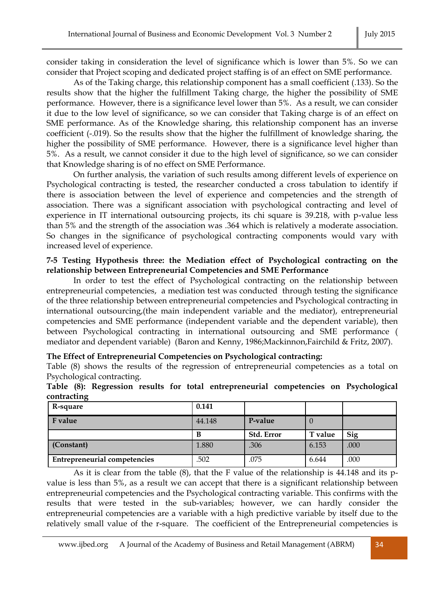consider taking in consideration the level of significance which is lower than 5%. So we can consider that Project scoping and dedicated project staffing is of an effect on SME performance.

As of the Taking charge, this relationship component has a small coefficient (.133). So the results show that the higher the fulfillment Taking charge, the higher the possibility of SME performance. However, there is a significance level lower than 5%. As a result, we can consider it due to the low level of significance, so we can consider that Taking charge is of an effect on SME performance. As of the Knowledge sharing, this relationship component has an inverse coefficient (-.019). So the results show that the higher the fulfillment of knowledge sharing, the higher the possibility of SME performance. However, there is a significance level higher than 5%. As a result, we cannot consider it due to the high level of significance, so we can consider that Knowledge sharing is of no effect on SME Performance.

On further analysis, the variation of such results among different levels of experience on Psychological contracting is tested, the researcher conducted a cross tabulation to identify if there is association between the level of experience and competencies and the strength of association. There was a significant association with psychological contracting and level of experience in IT international outsourcing projects, its chi square is 39.218, with p-value less than 5% and the strength of the association was .364 which is relatively a moderate association. So changes in the significance of psychological contracting components would vary with increased level of experience.

#### **7-5 Testing Hypothesis three: the Mediation effect of Psychological contracting on the relationship between Entrepreneurial Competencies and SME Performance**

In order to test the effect of Psychological contracting on the relationship between entrepreneurial competencies, a mediation test was conducted through testing the significance of the three relationship between entrepreneurial competencies and Psychological contracting in international outsourcing,(the main independent variable and the mediator), entrepreneurial competencies and SME performance (independent variable and the dependent variable), then between Psychological contracting in international outsourcing and SME performance ( mediator and dependent variable) (Baron and Kenny, 1986;Mackinnon,Fairchild & Fritz, 2007).

#### **The Effect of Entrepreneurial Competencies on Psychological contracting:**

Table (8) shows the results of the regression of entrepreneurial competencies as a total on Psychological contracting.

| R-square                            | 0.141  |            |         |      |
|-------------------------------------|--------|------------|---------|------|
| F value                             | 44.148 | P-value    | $\cup$  |      |
|                                     | B      | Std. Error | T value | Sig  |
| (Constant)                          | 1.880  | .306       | 6.153   | .000 |
| <b>Entrepreneurial competencies</b> | .502   | .075       | 6.644   | .000 |

**Table (8): Regression results for total entrepreneurial competencies on Psychological contracting**

As it is clear from the table (8), that the F value of the relationship is 44.148 and its pvalue is less than 5%, as a result we can accept that there is a significant relationship between entrepreneurial competencies and the Psychological contracting variable. This confirms with the results that were tested in the sub-variables; however, we can hardly consider the entrepreneurial competencies are a variable with a high predictive variable by itself due to the relatively small value of the r-square. The coefficient of the Entrepreneurial competencies is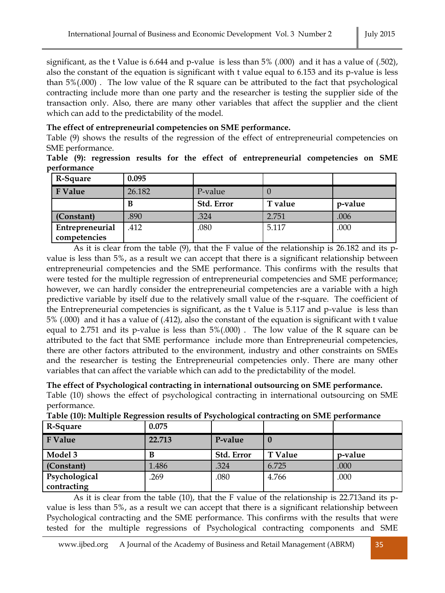significant, as the t Value is 6.644 and p-value is less than 5% (.000) and it has a value of (.502), also the constant of the equation is significant with t value equal to 6.153 and its p-value is less than 5%(.000) . The low value of the R square can be attributed to the fact that psychological contracting include more than one party and the researcher is testing the supplier side of the transaction only. Also, there are many other variables that affect the supplier and the client which can add to the predictability of the model.

## **The effect of entrepreneurial competencies on SME performance.**

Table (9) shows the results of the regression of the effect of entrepreneurial competencies on SME performance.

**Table (9): regression results for the effect of entrepreneurial competencies on SME performance**

| R-Square        | 0.095  |            |         |         |
|-----------------|--------|------------|---------|---------|
| <b>F</b> Value  | 26.182 | P-value    |         |         |
|                 | В      | Std. Error | T value | p-value |
| (Constant)      | .890   | .324       | 2.751   | .006    |
| Entrepreneurial | .412   | .080       | 5.117   | .000    |
| competencies    |        |            |         |         |

As it is clear from the table (9), that the F value of the relationship is 26.182 and its pvalue is less than 5%, as a result we can accept that there is a significant relationship between entrepreneurial competencies and the SME performance. This confirms with the results that were tested for the multiple regression of entrepreneurial competencies and SME performance; however, we can hardly consider the entrepreneurial competencies are a variable with a high predictive variable by itself due to the relatively small value of the r-square. The coefficient of the Entrepreneurial competencies is significant, as the t Value is 5.117 and p-value is less than 5% (.000) and it has a value of (.412), also the constant of the equation is significant with t value equal to 2.751 and its p-value is less than 5%(.000) . The low value of the R square can be attributed to the fact that SME performance include more than Entrepreneurial competencies, there are other factors attributed to the environment, industry and other constraints on SMEs and the researcher is testing the Entrepreneurial competencies only. There are many other variables that can affect the variable which can add to the predictability of the model.

## **The effect of Psychological contracting in international outsourcing on SME performance.**

Table (10) shows the effect of psychological contracting in international outsourcing on SME performance.

| R-Square                     | 0.075  |            |                |         |
|------------------------------|--------|------------|----------------|---------|
| <b>F</b> Value               | 22.713 | P-value    |                |         |
| Model 3                      | B      | Std. Error | <b>T</b> Value | p-value |
| (Constant)                   | 1.486  | .324       | 6.725          | .000    |
| Psychological<br>contracting | .269   | .080       | 4.766          | .000    |

**Table (10): Multiple Regression results of Psychological contracting on SME performance**

As it is clear from the table (10), that the F value of the relationship is 22.713and its pvalue is less than 5%, as a result we can accept that there is a significant relationship between Psychological contracting and the SME performance. This confirms with the results that were tested for the multiple regressions of Psychological contracting components and SME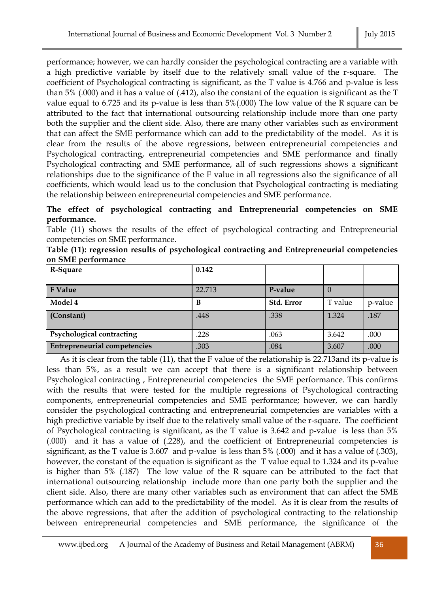performance; however, we can hardly consider the psychological contracting are a variable with a high predictive variable by itself due to the relatively small value of the r-square. The coefficient of Psychological contracting is significant, as the T value is 4.766 and p-value is less than 5% (.000) and it has a value of (.412), also the constant of the equation is significant as the T value equal to 6.725 and its p-value is less than 5%(.000) The low value of the R square can be attributed to the fact that international outsourcing relationship include more than one party both the supplier and the client side. Also, there are many other variables such as environment that can affect the SME performance which can add to the predictability of the model. As it is clear from the results of the above regressions, between entrepreneurial competencies and Psychological contracting, entrepreneurial competencies and SME performance and finally Psychological contracting and SME performance, all of such regressions shows a significant relationships due to the significance of the F value in all regressions also the significance of all coefficients, which would lead us to the conclusion that Psychological contracting is mediating the relationship between entrepreneurial competencies and SME performance.

# **The effect of psychological contracting and Entrepreneurial competencies on SME performance.**

Table (11) shows the results of the effect of psychological contracting and Entrepreneurial competencies on SME performance.

|                    |  | Table (11): regression results of psychological contracting and Entrepreneurial competencies |  |
|--------------------|--|----------------------------------------------------------------------------------------------|--|
| on SME performance |  |                                                                                              |  |

| R-Square                     | 0.142  |            |          |         |
|------------------------------|--------|------------|----------|---------|
| <b>F</b> Value               | 22.713 | P-value    | $\theta$ |         |
| Model 4                      | B      | Std. Error | T value  | p-value |
| (Constant)                   | .448   | .338       | 1.324    | .187    |
|                              |        |            |          |         |
| Psychological contracting    | .228   | .063       | 3.642    | .000    |
| Entrepreneurial competencies | .303   | .084       | 3.607    | .000    |

As it is clear from the table (11), that the F value of the relationship is 22.713and its p-value is less than 5%, as a result we can accept that there is a significant relationship between Psychological contracting , Entrepreneurial competencies the SME performance. This confirms with the results that were tested for the multiple regressions of Psychological contracting components, entrepreneurial competencies and SME performance; however, we can hardly consider the psychological contracting and entrepreneurial competencies are variables with a high predictive variable by itself due to the relatively small value of the r-square. The coefficient of Psychological contracting is significant, as the T value is 3.642 and p-value is less than 5% (.000) and it has a value of (.228), and the coefficient of Entrepreneurial competencies is significant, as the T value is 3.607 and p-value is less than 5% (.000) and it has a value of (.303), however, the constant of the equation is significant as the T value equal to 1.324 and its p-value is higher than 5% (.187) The low value of the R square can be attributed to the fact that international outsourcing relationship include more than one party both the supplier and the client side. Also, there are many other variables such as environment that can affect the SME performance which can add to the predictability of the model. As it is clear from the results of the above regressions, that after the addition of psychological contracting to the relationship between entrepreneurial competencies and SME performance, the significance of the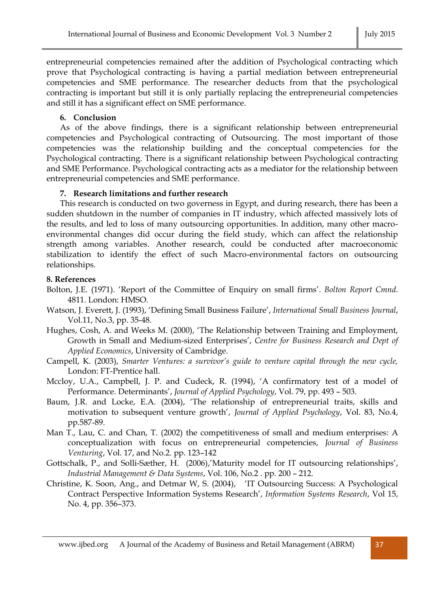entrepreneurial competencies remained after the addition of Psychological contracting which prove that Psychological contracting is having a partial mediation between entrepreneurial competencies and SME performance. The researcher deducts from that the psychological contracting is important but still it is only partially replacing the entrepreneurial competencies and still it has a significant effect on SME performance.

#### **6. Conclusion**

As of the above findings, there is a significant relationship between entrepreneurial competencies and Psychological contracting of Outsourcing. The most important of those competencies was the relationship building and the conceptual competencies for the Psychological contracting. There is a significant relationship between Psychological contracting and SME Performance. Psychological contracting acts as a mediator for the relationship between entrepreneurial competencies and SME performance.

#### **7. Research limitations and further research**

This research is conducted on two governess in Egypt, and during research, there has been a sudden shutdown in the number of companies in IT industry, which affected massively lots of the results, and led to loss of many outsourcing opportunities. In addition, many other macroenvironmental changes did occur during the field study, which can affect the relationship strength among variables. Another research, could be conducted after macroeconomic stabilization to identify the effect of such Macro-environmental factors on outsourcing relationships.

#### **8. References**

- Bolton, J.E. (1971). 'Report of the Committee of Enquiry on small firms'. *Bolton Report Cmnd*. 4811. London: HMSO.
- Watson, J. Everett, J. (1993), 'Defining Small Business Failure', *International Small Business Journal*, Vol.11, No.3, pp. 35-48.
- Hughes, Cosh, A. and Weeks M. (2000), 'The Relationship between Training and Employment, Growth in Small and Medium-sized Enterprises', *Centre for Business Research and Dept of Applied Economics*, University of Cambridge.
- Campell, K. (2003), *Smarter Ventures: a survivor's guide to venture capital through the new cycle,*  London: FT-Prentice hall.
- Mccloy, U.A., Campbell, J. P. and Cudeck, R. (1994), 'A confirmatory test of a model of Performance. Determinants', *Journal of Applied Psychology*, Vol. 79, pp. 493 – 503.
- Baum, J.R. and Locke, E.A. (2004), 'The relationship of entrepreneurial traits, skills and motivation to subsequent venture growth', *Journal of Applied Psychology*, Vol. 83, No.4, pp.587-89.
- Man T., Lau, C. and Chan, T. (2002) the competitiveness of small and medium enterprises: A conceptualization with focus on entrepreneurial competencies, *Journal of Business Venturing*, Vol. 17, and No.2. pp. 123–142
- Gottschalk, P., and Solli-Sæther, H. (2006),'Maturity model for IT outsourcing relationships', *Industrial Management & Data Systems*, Vol. 106, No.2 . pp. 200 – 212.
- Christine, K. Soon, Ang., and Detmar W, S. (2004), 'IT Outsourcing Success: A Psychological Contract Perspective Information Systems Research', *Information Systems Research*, Vol 15, No. 4, pp. 356–373.